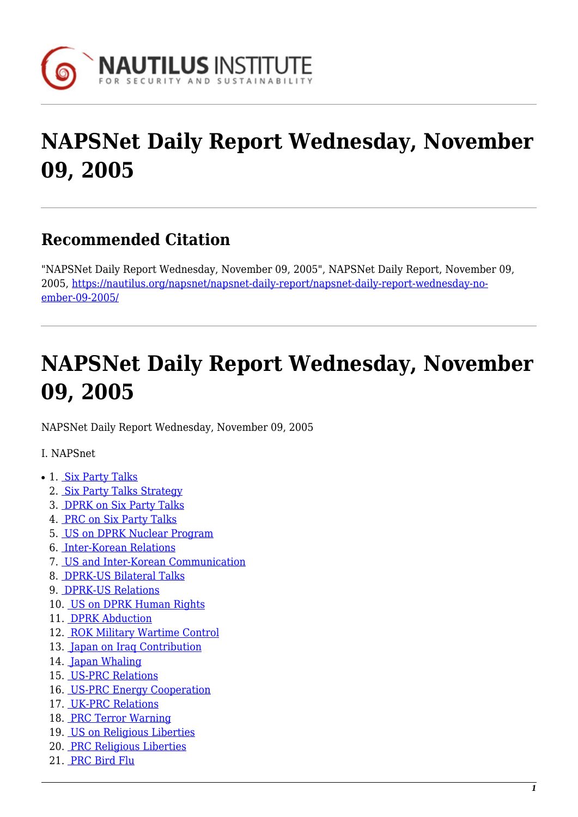

# **NAPSNet Daily Report Wednesday, November 09, 2005**

# **Recommended Citation**

"NAPSNet Daily Report Wednesday, November 09, 2005", NAPSNet Daily Report, November 09, 2005, [https://nautilus.org/napsnet/napsnet-daily-report/napsnet-daily-report-wednesday-no](https://nautilus.org/napsnet/napsnet-daily-report/napsnet-daily-report-wednesday-november-09-2005/)[ember-09-2005/](https://nautilus.org/napsnet/napsnet-daily-report/napsnet-daily-report-wednesday-november-09-2005/)

# **NAPSNet Daily Report Wednesday, November 09, 2005**

<span id="page-0-0"></span>NAPSNet Daily Report Wednesday, November 09, 2005

#### I. NAPSnet

- 1. [Six Party Talks](#page-1-0)
	- 2. [Six Party Talks Strategy](#page-1-1)
	- 3. [DPRK on Six Party Talks](#page-1-2)
	- 4. [PRC on Six Party Talks](#page-1-3)
	- 5. [US on DPRK Nuclear Program](#page-2-0)
	- 6. [Inter-Korean Relations](#page-2-1)
	- 7. [US and Inter-Korean Communication](#page-2-2)
	- 8. [DPRK-US Bilateral Talks](#page-2-3)
	- 9. [DPRK-US Relations](#page-3-0)
	- 10. [US on DPRK Human Rights](#page-3-1)
	- 11. [DPRK Abduction](#page-4-0)
	- 12. [ROK Military Wartime Control](#page-4-1)
	- 13. [Japan on Iraq Contribution](#page-4-2)
	- 14. [Japan Whaling](#page-4-3)
	- 15. [US-PRC Relations](#page-4-4)
	- 16. [US-PRC Energy Cooperation](#page-5-0)
	- 17. [UK-PRC Relations](#page-5-1)
	- 18. [PRC Terror Warning](#page-5-2)
	- 19. [US on Religious Liberties](#page-5-3)
	- 20. [PRC Religious Liberties](#page-5-4)
	- 21. [PRC Bird Flu](#page-6-0)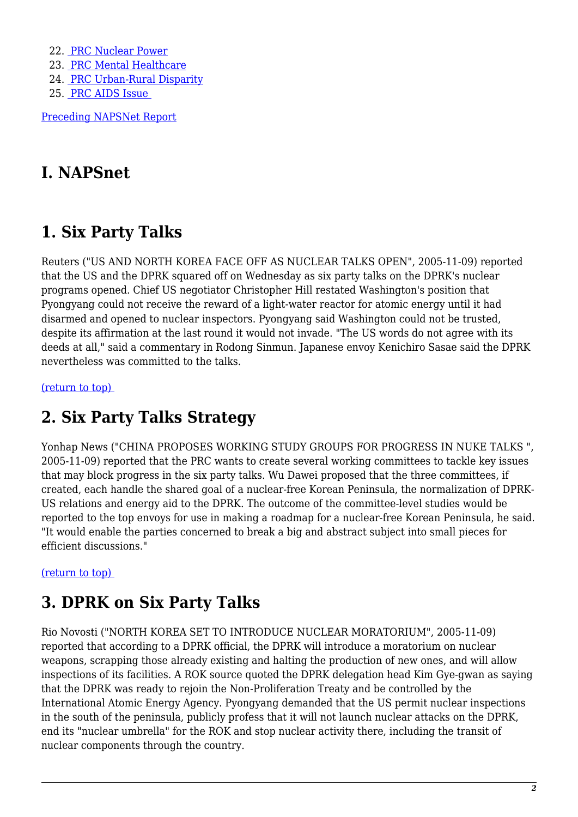22. [PRC Nuclear Power](#page-6-1) 23. [PRC Mental Healthcare](#page-6-2) 24. [PRC Urban-Rural Disparity](#page-6-3) 25. [PRC AIDS Issue](#page-7-0) 

[Preceding NAPSNet Report](https://nautilus.org/mailing-lists/napsnet/dr/2005-2/napsnet-daily-report-tuesday-november-08-2005/)

## **I. NAPSnet**

## <span id="page-1-0"></span>**1. Six Party Talks**

Reuters ("US AND NORTH KOREA FACE OFF AS NUCLEAR TALKS OPEN", 2005-11-09) reported that the US and the DPRK squared off on Wednesday as six party talks on the DPRK's nuclear programs opened. Chief US negotiator Christopher Hill restated Washington's position that Pyongyang could not receive the reward of a light-water reactor for atomic energy until it had disarmed and opened to nuclear inspectors. Pyongyang said Washington could not be trusted, despite its affirmation at the last round it would not invade. "The US words do not agree with its deeds at all," said a commentary in Rodong Sinmun. Japanese envoy Kenichiro Sasae said the DPRK nevertheless was committed to the talks.

<span id="page-1-1"></span>[\(return to top\)](#page-0-0) 

#### **2. Six Party Talks Strategy**

Yonhap News ("CHINA PROPOSES WORKING STUDY GROUPS FOR PROGRESS IN NUKE TALKS ", 2005-11-09) reported that the PRC wants to create several working committees to tackle key issues that may block progress in the six party talks. Wu Dawei proposed that the three committees, if created, each handle the shared goal of a nuclear-free Korean Peninsula, the normalization of DPRK-US relations and energy aid to the DPRK. The outcome of the committee-level studies would be reported to the top envoys for use in making a roadmap for a nuclear-free Korean Peninsula, he said. "It would enable the parties concerned to break a big and abstract subject into small pieces for efficient discussions."

<span id="page-1-2"></span>[\(return to top\)](#page-0-0) 

## **3. DPRK on Six Party Talks**

<span id="page-1-3"></span>Rio Novosti ("NORTH KOREA SET TO INTRODUCE NUCLEAR MORATORIUM", 2005-11-09) reported that according to a DPRK official, the DPRK will introduce a moratorium on nuclear weapons, scrapping those already existing and halting the production of new ones, and will allow inspections of its facilities. A ROK source quoted the DPRK delegation head Kim Gye-gwan as saying that the DPRK was ready to rejoin the Non-Proliferation Treaty and be controlled by the International Atomic Energy Agency. Pyongyang demanded that the US permit nuclear inspections in the south of the peninsula, publicly profess that it will not launch nuclear attacks on the DPRK, end its "nuclear umbrella" for the ROK and stop nuclear activity there, including the transit of nuclear components through the country.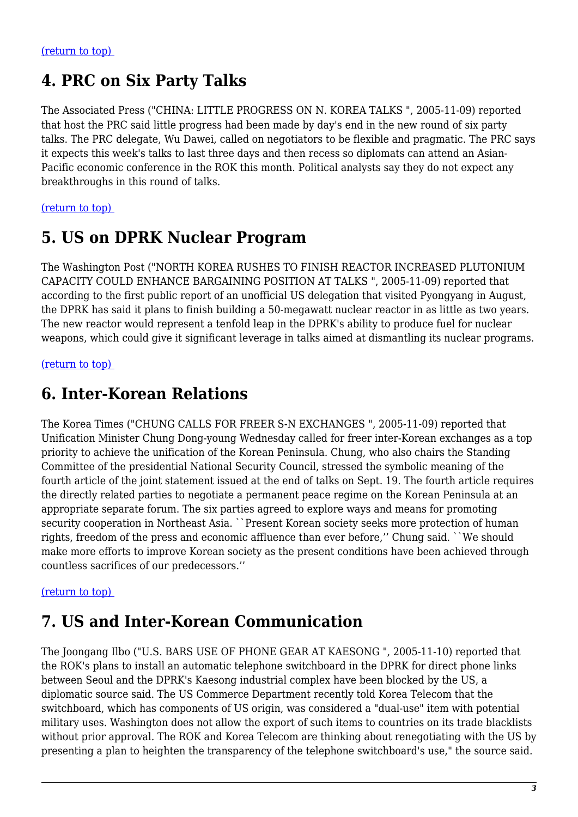#### **4. PRC on Six Party Talks**

The Associated Press ("CHINA: LITTLE PROGRESS ON N. KOREA TALKS ", 2005-11-09) reported that host the PRC said little progress had been made by day's end in the new round of six party talks. The PRC delegate, Wu Dawei, called on negotiators to be flexible and pragmatic. The PRC says it expects this week's talks to last three days and then recess so diplomats can attend an Asian-Pacific economic conference in the ROK this month. Political analysts say they do not expect any breakthroughs in this round of talks.

#### <span id="page-2-0"></span>[\(return to top\)](#page-0-0)

#### **5. US on DPRK Nuclear Program**

The Washington Post ("NORTH KOREA RUSHES TO FINISH REACTOR INCREASED PLUTONIUM CAPACITY COULD ENHANCE BARGAINING POSITION AT TALKS ", 2005-11-09) reported that according to the first public report of an unofficial US delegation that visited Pyongyang in August, the DPRK has said it plans to finish building a 50-megawatt nuclear reactor in as little as two years. The new reactor would represent a tenfold leap in the DPRK's ability to produce fuel for nuclear weapons, which could give it significant leverage in talks aimed at dismantling its nuclear programs.

#### <span id="page-2-1"></span>[\(return to top\)](#page-0-0)

#### **6. Inter-Korean Relations**

The Korea Times ("CHUNG CALLS FOR FREER S-N EXCHANGES ", 2005-11-09) reported that Unification Minister Chung Dong-young Wednesday called for freer inter-Korean exchanges as a top priority to achieve the unification of the Korean Peninsula. Chung, who also chairs the Standing Committee of the presidential National Security Council, stressed the symbolic meaning of the fourth article of the joint statement issued at the end of talks on Sept. 19. The fourth article requires the directly related parties to negotiate a permanent peace regime on the Korean Peninsula at an appropriate separate forum. The six parties agreed to explore ways and means for promoting security cooperation in Northeast Asia. ``Present Korean society seeks more protection of human rights, freedom of the press and economic affluence than ever before," Chung said. ``We should make more efforts to improve Korean society as the present conditions have been achieved through countless sacrifices of our predecessors.''

#### <span id="page-2-2"></span>[\(return to top\)](#page-0-0)

#### **7. US and Inter-Korean Communication**

<span id="page-2-3"></span>The Joongang Ilbo ("U.S. BARS USE OF PHONE GEAR AT KAESONG ", 2005-11-10) reported that the ROK's plans to install an automatic telephone switchboard in the DPRK for direct phone links between Seoul and the DPRK's Kaesong industrial complex have been blocked by the US, a diplomatic source said. The US Commerce Department recently told Korea Telecom that the switchboard, which has components of US origin, was considered a "dual-use" item with potential military uses. Washington does not allow the export of such items to countries on its trade blacklists without prior approval. The ROK and Korea Telecom are thinking about renegotiating with the US by presenting a plan to heighten the transparency of the telephone switchboard's use," the source said.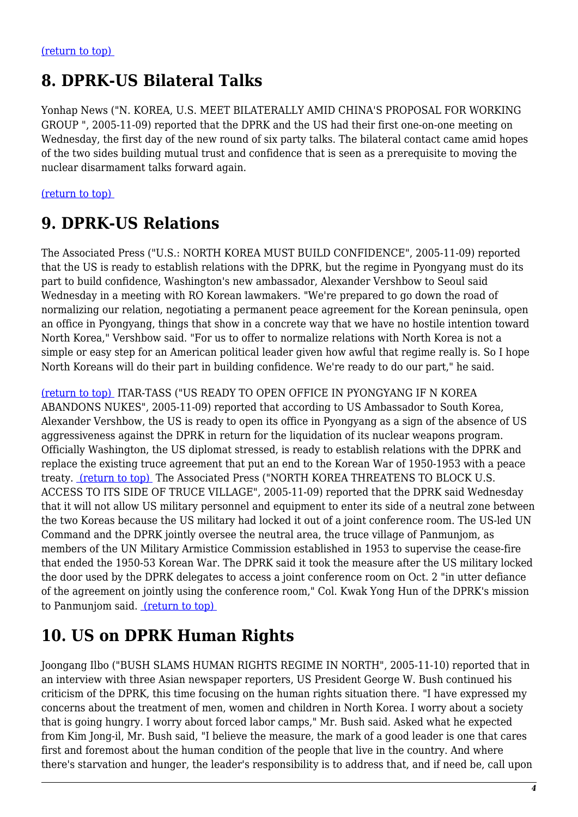# **8. DPRK-US Bilateral Talks**

Yonhap News ("N. KOREA, U.S. MEET BILATERALLY AMID CHINA'S PROPOSAL FOR WORKING GROUP ", 2005-11-09) reported that the DPRK and the US had their first one-on-one meeting on Wednesday, the first day of the new round of six party talks. The bilateral contact came amid hopes of the two sides building mutual trust and confidence that is seen as a prerequisite to moving the nuclear disarmament talks forward again.

<span id="page-3-0"></span>[\(return to top\)](#page-0-0) 

#### **9. DPRK-US Relations**

The Associated Press ("U.S.: NORTH KOREA MUST BUILD CONFIDENCE", 2005-11-09) reported that the US is ready to establish relations with the DPRK, but the regime in Pyongyang must do its part to build confidence, Washington's new ambassador, Alexander Vershbow to Seoul said Wednesday in a meeting with RO Korean lawmakers. "We're prepared to go down the road of normalizing our relation, negotiating a permanent peace agreement for the Korean peninsula, open an office in Pyongyang, things that show in a concrete way that we have no hostile intention toward North Korea," Vershbow said. "For us to offer to normalize relations with North Korea is not a simple or easy step for an American political leader given how awful that regime really is. So I hope North Koreans will do their part in building confidence. We're ready to do our part," he said.

[\(return to top\)](#page-0-0) ITAR-TASS ("US READY TO OPEN OFFICE IN PYONGYANG IF N KOREA ABANDONS NUKES", 2005-11-09) reported that according to US Ambassador to South Korea, Alexander Vershbow, the US is ready to open its office in Pyongyang as a sign of the absence of US aggressiveness against the DPRK in return for the liquidation of its nuclear weapons program. Officially Washington, the US diplomat stressed, is ready to establish relations with the DPRK and replace the existing truce agreement that put an end to the Korean War of 1950-1953 with a peace treaty. [\(return to top\)](#page-0-0) The Associated Press ("NORTH KOREA THREATENS TO BLOCK U.S. ACCESS TO ITS SIDE OF TRUCE VILLAGE", 2005-11-09) reported that the DPRK said Wednesday that it will not allow US military personnel and equipment to enter its side of a neutral zone between the two Koreas because the US military had locked it out of a joint conference room. The US-led UN Command and the DPRK jointly oversee the neutral area, the truce village of Panmunjom, as members of the UN Military Armistice Commission established in 1953 to supervise the cease-fire that ended the 1950-53 Korean War. The DPRK said it took the measure after the US military locked the door used by the DPRK delegates to access a joint conference room on Oct. 2 "in utter defiance of the agreement on jointly using the conference room," Col. Kwak Yong Hun of the DPRK's mission to Panmunjom said. [\(return to top\)](#page-0-0) 

## <span id="page-3-1"></span>**10. US on DPRK Human Rights**

Joongang Ilbo ("BUSH SLAMS HUMAN RIGHTS REGIME IN NORTH", 2005-11-10) reported that in an interview with three Asian newspaper reporters, US President George W. Bush continued his criticism of the DPRK, this time focusing on the human rights situation there. "I have expressed my concerns about the treatment of men, women and children in North Korea. I worry about a society that is going hungry. I worry about forced labor camps," Mr. Bush said. Asked what he expected from Kim Jong-il, Mr. Bush said, "I believe the measure, the mark of a good leader is one that cares first and foremost about the human condition of the people that live in the country. And where there's starvation and hunger, the leader's responsibility is to address that, and if need be, call upon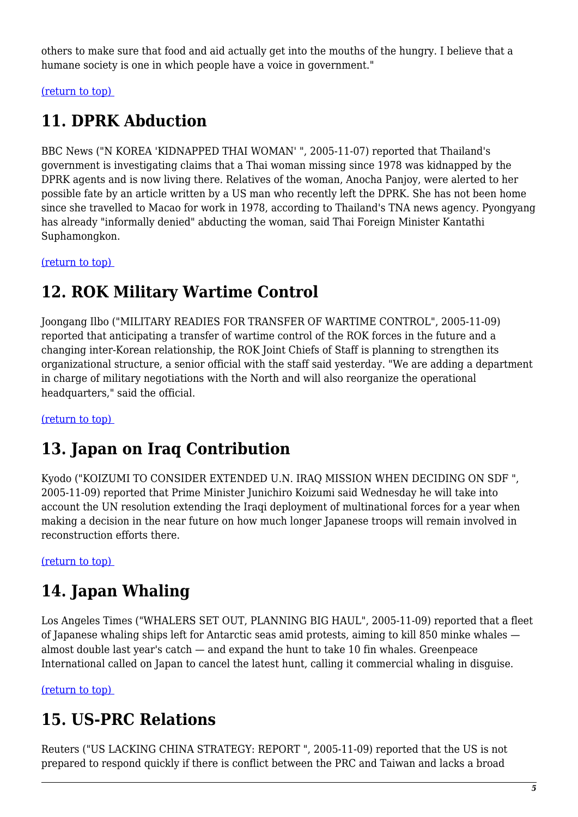others to make sure that food and aid actually get into the mouths of the hungry. I believe that a humane society is one in which people have a voice in government."

<span id="page-4-0"></span>[\(return to top\)](#page-0-0) 

# **11. DPRK Abduction**

BBC News ("N KOREA 'KIDNAPPED THAI WOMAN' ", 2005-11-07) reported that Thailand's government is investigating claims that a Thai woman missing since 1978 was kidnapped by the DPRK agents and is now living there. Relatives of the woman, Anocha Panjoy, were alerted to her possible fate by an article written by a US man who recently left the DPRK. She has not been home since she travelled to Macao for work in 1978, according to Thailand's TNA news agency. Pyongyang has already "informally denied" abducting the woman, said Thai Foreign Minister Kantathi Suphamongkon.

<span id="page-4-1"></span>[\(return to top\)](#page-0-0) 

#### **12. ROK Military Wartime Control**

Joongang Ilbo ("MILITARY READIES FOR TRANSFER OF WARTIME CONTROL", 2005-11-09) reported that anticipating a transfer of wartime control of the ROK forces in the future and a changing inter-Korean relationship, the ROK Joint Chiefs of Staff is planning to strengthen its organizational structure, a senior official with the staff said yesterday. "We are adding a department in charge of military negotiations with the North and will also reorganize the operational headquarters," said the official.

<span id="page-4-2"></span>[\(return to top\)](#page-0-0) 

# **13. Japan on Iraq Contribution**

Kyodo ("KOIZUMI TO CONSIDER EXTENDED U.N. IRAQ MISSION WHEN DECIDING ON SDF ", 2005-11-09) reported that Prime Minister Junichiro Koizumi said Wednesday he will take into account the UN resolution extending the Iraqi deployment of multinational forces for a year when making a decision in the near future on how much longer Japanese troops will remain involved in reconstruction efforts there.

<span id="page-4-3"></span>[\(return to top\)](#page-0-0) 

# **14. Japan Whaling**

Los Angeles Times ("WHALERS SET OUT, PLANNING BIG HAUL", 2005-11-09) reported that a fleet of Japanese whaling ships left for Antarctic seas amid protests, aiming to kill 850 minke whales almost double last year's catch — and expand the hunt to take 10 fin whales. Greenpeace International called on Japan to cancel the latest hunt, calling it commercial whaling in disguise.

<span id="page-4-4"></span>[\(return to top\)](#page-0-0) 

## **15. US-PRC Relations**

Reuters ("US LACKING CHINA STRATEGY: REPORT ", 2005-11-09) reported that the US is not prepared to respond quickly if there is conflict between the PRC and Taiwan and lacks a broad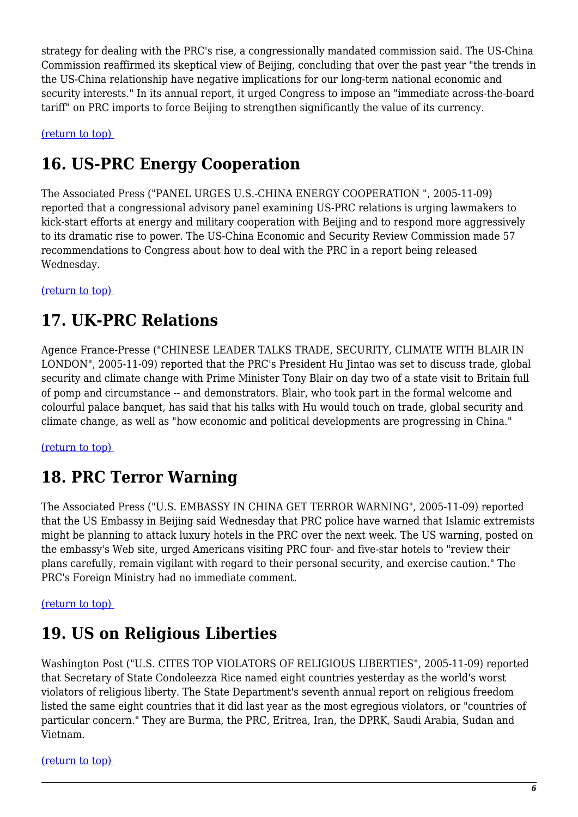strategy for dealing with the PRC's rise, a congressionally mandated commission said. The US-China Commission reaffirmed its skeptical view of Beijing, concluding that over the past year "the trends in the US-China relationship have negative implications for our long-term national economic and security interests." In its annual report, it urged Congress to impose an "immediate across-the-board tariff" on PRC imports to force Beijing to strengthen significantly the value of its currency.

#### <span id="page-5-0"></span>[\(return to top\)](#page-0-0)

#### **16. US-PRC Energy Cooperation**

The Associated Press ("PANEL URGES U.S.-CHINA ENERGY COOPERATION ", 2005-11-09) reported that a congressional advisory panel examining US-PRC relations is urging lawmakers to kick-start efforts at energy and military cooperation with Beijing and to respond more aggressively to its dramatic rise to power. The US-China Economic and Security Review Commission made 57 recommendations to Congress about how to deal with the PRC in a report being released Wednesday.

<span id="page-5-1"></span>[\(return to top\)](#page-0-0) 

# **17. UK-PRC Relations**

Agence France-Presse ("CHINESE LEADER TALKS TRADE, SECURITY, CLIMATE WITH BLAIR IN LONDON", 2005-11-09) reported that the PRC's President Hu Jintao was set to discuss trade, global security and climate change with Prime Minister Tony Blair on day two of a state visit to Britain full of pomp and circumstance -- and demonstrators. Blair, who took part in the formal welcome and colourful palace banquet, has said that his talks with Hu would touch on trade, global security and climate change, as well as "how economic and political developments are progressing in China."

<span id="page-5-2"></span>[\(return to top\)](#page-0-0) 

## **18. PRC Terror Warning**

The Associated Press ("U.S. EMBASSY IN CHINA GET TERROR WARNING", 2005-11-09) reported that the US Embassy in Beijing said Wednesday that PRC police have warned that Islamic extremists might be planning to attack luxury hotels in the PRC over the next week. The US warning, posted on the embassy's Web site, urged Americans visiting PRC four- and five-star hotels to "review their plans carefully, remain vigilant with regard to their personal security, and exercise caution." The PRC's Foreign Ministry had no immediate comment.

#### <span id="page-5-3"></span>[\(return to top\)](#page-0-0)

#### **19. US on Religious Liberties**

Washington Post ("U.S. CITES TOP VIOLATORS OF RELIGIOUS LIBERTIES", 2005-11-09) reported that Secretary of State Condoleezza Rice named eight countries yesterday as the world's worst violators of religious liberty. The State Department's seventh annual report on religious freedom listed the same eight countries that it did last year as the most egregious violators, or "countries of particular concern." They are Burma, the PRC, Eritrea, Iran, the DPRK, Saudi Arabia, Sudan and Vietnam.

<span id="page-5-4"></span>[\(return to top\)](#page-0-0)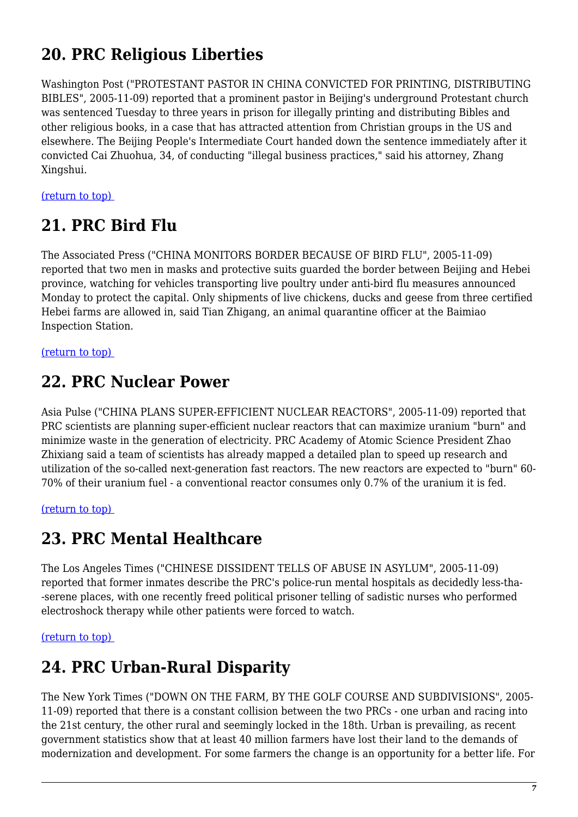# **20. PRC Religious Liberties**

Washington Post ("PROTESTANT PASTOR IN CHINA CONVICTED FOR PRINTING, DISTRIBUTING BIBLES", 2005-11-09) reported that a prominent pastor in Beijing's underground Protestant church was sentenced Tuesday to three years in prison for illegally printing and distributing Bibles and other religious books, in a case that has attracted attention from Christian groups in the US and elsewhere. The Beijing People's Intermediate Court handed down the sentence immediately after it convicted Cai Zhuohua, 34, of conducting "illegal business practices," said his attorney, Zhang Xingshui.

<span id="page-6-0"></span>[\(return to top\)](#page-0-0) 

# **21. PRC Bird Flu**

The Associated Press ("CHINA MONITORS BORDER BECAUSE OF BIRD FLU", 2005-11-09) reported that two men in masks and protective suits guarded the border between Beijing and Hebei province, watching for vehicles transporting live poultry under anti-bird flu measures announced Monday to protect the capital. Only shipments of live chickens, ducks and geese from three certified Hebei farms are allowed in, said Tian Zhigang, an animal quarantine officer at the Baimiao Inspection Station.

<span id="page-6-1"></span>[\(return to top\)](#page-0-0) 

#### **22. PRC Nuclear Power**

Asia Pulse ("CHINA PLANS SUPER-EFFICIENT NUCLEAR REACTORS", 2005-11-09) reported that PRC scientists are planning super-efficient nuclear reactors that can maximize uranium "burn" and minimize waste in the generation of electricity. PRC Academy of Atomic Science President Zhao Zhixiang said a team of scientists has already mapped a detailed plan to speed up research and utilization of the so-called next-generation fast reactors. The new reactors are expected to "burn" 60- 70% of their uranium fuel - a conventional reactor consumes only 0.7% of the uranium it is fed.

<span id="page-6-2"></span>[\(return to top\)](#page-0-0) 

## **23. PRC Mental Healthcare**

The Los Angeles Times ("CHINESE DISSIDENT TELLS OF ABUSE IN ASYLUM", 2005-11-09) reported that former inmates describe the PRC's police-run mental hospitals as decidedly less-tha- -serene places, with one recently freed political prisoner telling of sadistic nurses who performed electroshock therapy while other patients were forced to watch.

<span id="page-6-3"></span>[\(return to top\)](#page-0-0) 

# **24. PRC Urban-Rural Disparity**

The New York Times ("DOWN ON THE FARM, BY THE GOLF COURSE AND SUBDIVISIONS", 2005- 11-09) reported that there is a constant collision between the two PRCs - one urban and racing into the 21st century, the other rural and seemingly locked in the 18th. Urban is prevailing, as recent government statistics show that at least 40 million farmers have lost their land to the demands of modernization and development. For some farmers the change is an opportunity for a better life. For